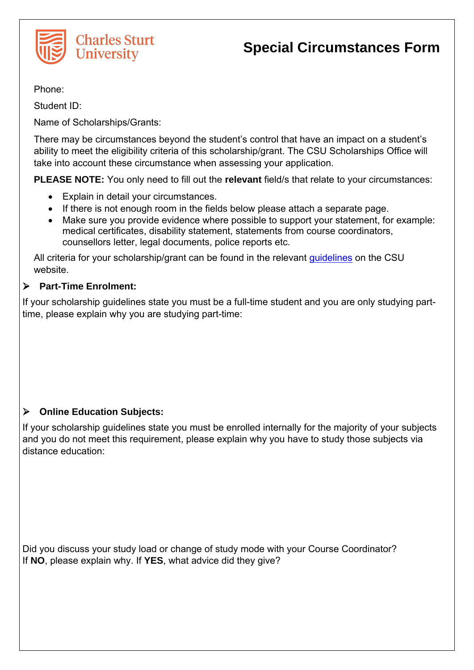

Phone:

Student ID:

Name of Scholarships/Grants:

There may be circumstances beyond the student's control that have an impact on a student's ability to meet the eligibility criteria of this scholarship/grant. The CSU Scholarships Office will take into account these circumstance when assessing your application.

**PLEASE NOTE:** You only need to fill out the **relevant** field/s that relate to your circumstances:

- Explain in detail your circumstances.
- If there is not enough room in the fields below please attach a separate page.
- Make sure you provide evidence where possible to support your statement, for example: medical certificates, disability statement, statements from course coordinators, counsellors letter, legal documents, police reports etc.

All criteria for your scholarship/grant can be found in the relevant quidelines on the CSU website.

# **Part-Time Enrolment:**

If your scholarship guidelines state you must be a full-time student and you are only studying parttime, please explain why you are studying part-time:

# **Online Education Subjects:**

If your scholarship guidelines state you must be enrolled internally for the majority of your subjects and you do not meet this requirement, please explain why you have to study those subjects via distance education:

Did you discuss your study load or change of study mode with your Course Coordinator? If **NO**, please explain why. If **YES**, what advice did they give?